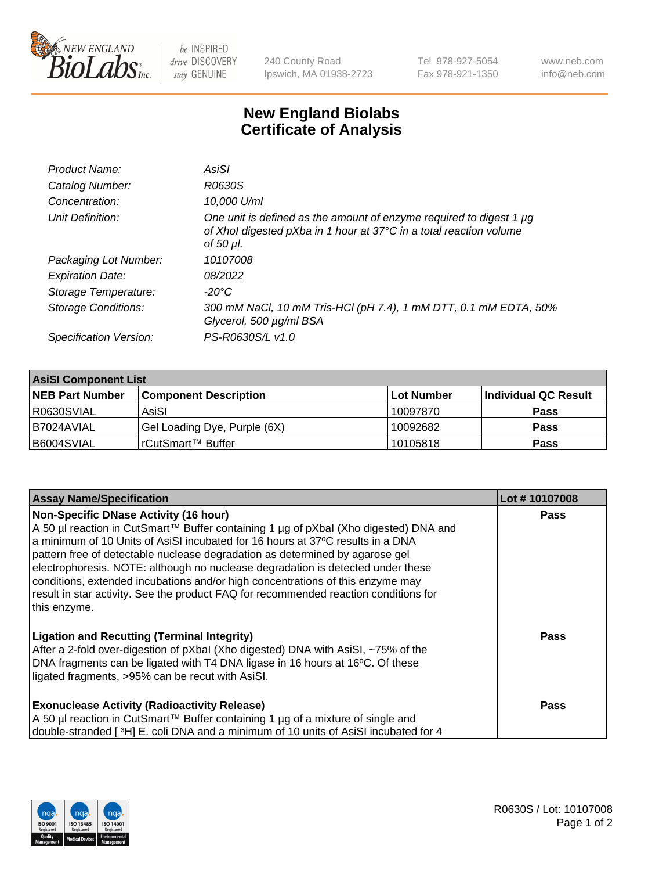

 $be$  INSPIRED drive DISCOVERY stay GENUINE

240 County Road Ipswich, MA 01938-2723 Tel 978-927-5054 Fax 978-921-1350 www.neb.com info@neb.com

## **New England Biolabs Certificate of Analysis**

| Product Name:              | AsiSI                                                                                                                                                       |
|----------------------------|-------------------------------------------------------------------------------------------------------------------------------------------------------------|
| Catalog Number:            | R0630S                                                                                                                                                      |
| Concentration:             | 10,000 U/ml                                                                                                                                                 |
| Unit Definition:           | One unit is defined as the amount of enzyme required to digest 1 µg<br>of Xhol digested pXba in 1 hour at 37°C in a total reaction volume<br>of 50 $\mu$ l. |
| Packaging Lot Number:      | 10107008                                                                                                                                                    |
| <b>Expiration Date:</b>    | 08/2022                                                                                                                                                     |
| Storage Temperature:       | $-20^{\circ}$ C                                                                                                                                             |
| <b>Storage Conditions:</b> | 300 mM NaCl, 10 mM Tris-HCl (pH 7.4), 1 mM DTT, 0.1 mM EDTA, 50%<br>Glycerol, 500 µg/ml BSA                                                                 |
| Specification Version:     | PS-R0630S/L v1.0                                                                                                                                            |

| <b>AsiSI Component List</b> |                              |            |                      |  |  |
|-----------------------------|------------------------------|------------|----------------------|--|--|
| <b>NEB Part Number</b>      | <b>Component Description</b> | Lot Number | Individual QC Result |  |  |
| R0630SVIAL                  | AsiSI                        | 10097870   | <b>Pass</b>          |  |  |
| I B7024AVIAL                | Gel Loading Dye, Purple (6X) | 10092682   | <b>Pass</b>          |  |  |
| B6004SVIAL                  | l rCutSmart™ Buffer_         | 10105818   | <b>Pass</b>          |  |  |

| <b>Assay Name/Specification</b>                                                                                                                                                                                                                                                                                                                                                                                                                                                                                                                                                     | Lot #10107008 |
|-------------------------------------------------------------------------------------------------------------------------------------------------------------------------------------------------------------------------------------------------------------------------------------------------------------------------------------------------------------------------------------------------------------------------------------------------------------------------------------------------------------------------------------------------------------------------------------|---------------|
| <b>Non-Specific DNase Activity (16 hour)</b><br>A 50 µl reaction in CutSmart™ Buffer containing 1 µg of pXbal (Xho digested) DNA and<br>a minimum of 10 Units of AsiSI incubated for 16 hours at 37°C results in a DNA<br>pattern free of detectable nuclease degradation as determined by agarose gel<br>electrophoresis. NOTE: although no nuclease degradation is detected under these<br>conditions, extended incubations and/or high concentrations of this enzyme may<br>result in star activity. See the product FAQ for recommended reaction conditions for<br>this enzyme. | <b>Pass</b>   |
| <b>Ligation and Recutting (Terminal Integrity)</b><br>After a 2-fold over-digestion of pXbal (Xho digested) DNA with AsiSI, ~75% of the<br>DNA fragments can be ligated with T4 DNA ligase in 16 hours at 16°C. Of these<br>ligated fragments, >95% can be recut with AsiSI.                                                                                                                                                                                                                                                                                                        | <b>Pass</b>   |
| <b>Exonuclease Activity (Radioactivity Release)</b><br>A 50 µl reaction in CutSmart™ Buffer containing 1 µg of a mixture of single and<br>double-stranded [3H] E. coli DNA and a minimum of 10 units of AsiSI incubated for 4                                                                                                                                                                                                                                                                                                                                                       | Pass          |